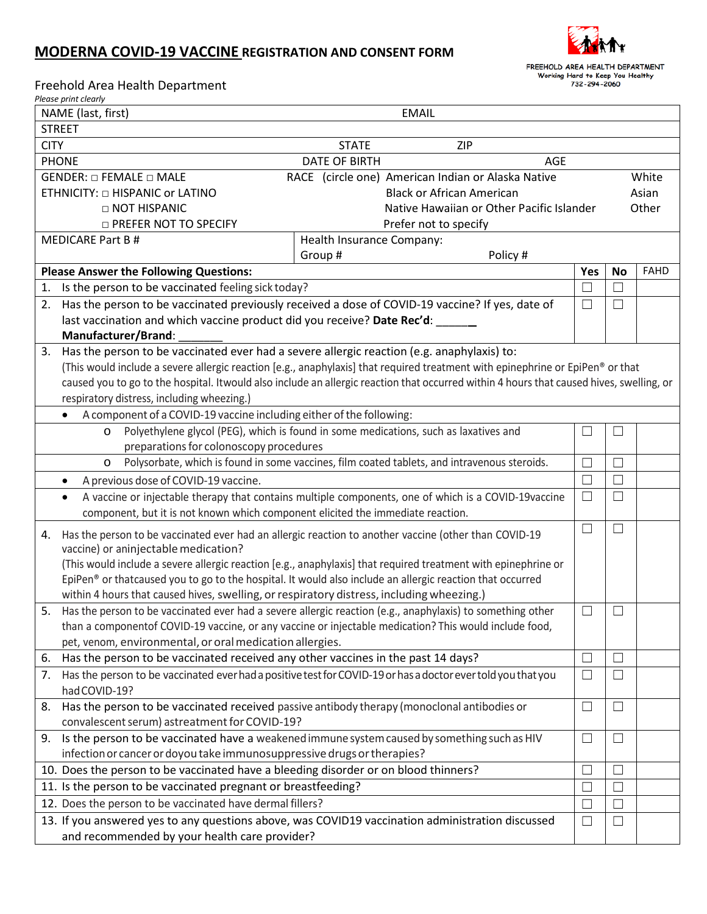## **MODERNA COVID-19 VACCINE REGISTRATION AND CONSENT FORM**



FREEHOLD AREA HEALTH DEPARTMENT Working Hard to Keep You Healthy<br>
732-294-2060

Freehold Area Health Department

*Please print clearly*

| NAME (last, first)<br><b>EMAIL</b>                                                                      |                                                                                                                                |                                                                                                                                          |           |             |  |  |
|---------------------------------------------------------------------------------------------------------|--------------------------------------------------------------------------------------------------------------------------------|------------------------------------------------------------------------------------------------------------------------------------------|-----------|-------------|--|--|
| <b>STREET</b>                                                                                           |                                                                                                                                |                                                                                                                                          |           |             |  |  |
| <b>STATE</b><br><b>CITY</b><br><b>ZIP</b>                                                               |                                                                                                                                |                                                                                                                                          |           |             |  |  |
| <b>DATE OF BIRTH</b><br><b>PHONE</b><br><b>AGE</b>                                                      |                                                                                                                                |                                                                                                                                          |           |             |  |  |
| RACE (circle one) American Indian or Alaska Native<br>GENDER: $\Box$ FEMALE $\Box$ MALE                 |                                                                                                                                |                                                                                                                                          | White     |             |  |  |
| <b>Black or African American</b><br>ETHNICITY: □ HISPANIC or LATINO                                     |                                                                                                                                |                                                                                                                                          |           | Asian       |  |  |
| □ NOT HISPANIC<br>Native Hawaiian or Other Pacific Islander                                             |                                                                                                                                |                                                                                                                                          | Other     |             |  |  |
|                                                                                                         | <b>D PREFER NOT TO SPECIFY</b><br>Prefer not to specify                                                                        |                                                                                                                                          |           |             |  |  |
| <b>MEDICARE Part B#</b><br>Health Insurance Company:                                                    |                                                                                                                                |                                                                                                                                          |           |             |  |  |
| Group #<br>Policy #                                                                                     |                                                                                                                                |                                                                                                                                          |           |             |  |  |
| <b>Please Answer the Following Questions:</b>                                                           |                                                                                                                                | Yes                                                                                                                                      | <b>No</b> | <b>FAHD</b> |  |  |
| Is the person to be vaccinated feeling sick today?<br>1.                                                |                                                                                                                                |                                                                                                                                          | $\Box$    |             |  |  |
| 2.                                                                                                      | Has the person to be vaccinated previously received a dose of COVID-19 vaccine? If yes, date of                                |                                                                                                                                          |           |             |  |  |
|                                                                                                         | last vaccination and which vaccine product did you receive? Date Rec'd:                                                        |                                                                                                                                          |           |             |  |  |
|                                                                                                         | Manufacturer/Brand:                                                                                                            |                                                                                                                                          |           |             |  |  |
|                                                                                                         | 3. Has the person to be vaccinated ever had a severe allergic reaction (e.g. anaphylaxis) to:                                  |                                                                                                                                          |           |             |  |  |
|                                                                                                         | (This would include a severe allergic reaction [e.g., anaphylaxis] that required treatment with epinephrine or EpiPen® or that |                                                                                                                                          |           |             |  |  |
|                                                                                                         |                                                                                                                                | caused you to go to the hospital. Itwould also include an allergic reaction that occurred within 4 hours that caused hives, swelling, or |           |             |  |  |
|                                                                                                         | respiratory distress, including wheezing.)                                                                                     |                                                                                                                                          |           |             |  |  |
|                                                                                                         | A component of a COVID-19 vaccine including either of the following:<br>$\bullet$                                              |                                                                                                                                          |           |             |  |  |
|                                                                                                         | Polyethylene glycol (PEG), which is found in some medications, such as laxatives and<br>$\circ$                                | $\Box$                                                                                                                                   | ⊔         |             |  |  |
|                                                                                                         | preparations for colonoscopy procedures                                                                                        |                                                                                                                                          |           |             |  |  |
| Polysorbate, which is found in some vaccines, film coated tablets, and intravenous steroids.<br>$\circ$ |                                                                                                                                | $\Box$                                                                                                                                   | $\Box$    |             |  |  |
| A previous dose of COVID-19 vaccine.<br>$\bullet$                                                       |                                                                                                                                |                                                                                                                                          | $\Box$    |             |  |  |
|                                                                                                         | A vaccine or injectable therapy that contains multiple components, one of which is a COVID-19 vaccine<br>$\bullet$             | $\Box$                                                                                                                                   | $\Box$    |             |  |  |
|                                                                                                         | component, but it is not known which component elicited the immediate reaction.                                                |                                                                                                                                          |           |             |  |  |
| 4.                                                                                                      | $\Box$<br>Has the person to be vaccinated ever had an allergic reaction to another vaccine (other than COVID-19                |                                                                                                                                          |           |             |  |  |
|                                                                                                         | vaccine) or aninjectable medication?                                                                                           |                                                                                                                                          |           |             |  |  |
|                                                                                                         | (This would include a severe allergic reaction [e.g., anaphylaxis] that required treatment with epinephrine or                 |                                                                                                                                          |           |             |  |  |
|                                                                                                         | EpiPen® or thatcaused you to go to the hospital. It would also include an allergic reaction that occurred                      |                                                                                                                                          |           |             |  |  |
|                                                                                                         |                                                                                                                                | within 4 hours that caused hives, swelling, or respiratory distress, including wheezing.)                                                |           |             |  |  |
|                                                                                                         | 5. Has the person to be vaccinated ever had a severe allergic reaction (e.g., anaphylaxis) to something other                  | $\Box$                                                                                                                                   | $\sqcup$  |             |  |  |
|                                                                                                         | than a componentof COVID-19 vaccine, or any vaccine or injectable medication? This would include food,                         |                                                                                                                                          |           |             |  |  |
|                                                                                                         | pet, venom, environmental, or oral medication allergies.                                                                       |                                                                                                                                          |           |             |  |  |
| 6.                                                                                                      | Has the person to be vaccinated received any other vaccines in the past 14 days?                                               | $\Box$                                                                                                                                   | $\Box$    |             |  |  |
| 7.                                                                                                      | Has the person to be vaccinated ever had a positive test for COVID-19 or has a doctor ever told you that you<br>had COVID-19?  | $\Box$                                                                                                                                   | $\Box$    |             |  |  |
| 8.                                                                                                      | Has the person to be vaccinated received passive antibody therapy (monoclonal antibodies or                                    | $\Box$                                                                                                                                   | $\Box$    |             |  |  |
|                                                                                                         | convalescent serum) astreatment for COVID-19?                                                                                  |                                                                                                                                          |           |             |  |  |
|                                                                                                         | 9. Is the person to be vaccinated have a weakened immune system caused by something such as HIV                                | $\Box$                                                                                                                                   | $\Box$    |             |  |  |
|                                                                                                         | infection or cancer or doyou take immunosuppressive drugs or therapies?                                                        |                                                                                                                                          |           |             |  |  |
|                                                                                                         | 10. Does the person to be vaccinated have a bleeding disorder or on blood thinners?                                            | $\Box$                                                                                                                                   | ⊔         |             |  |  |
|                                                                                                         | 11. Is the person to be vaccinated pregnant or breastfeeding?                                                                  |                                                                                                                                          | $\Box$    |             |  |  |
|                                                                                                         | 12. Does the person to be vaccinated have dermal fillers?                                                                      | ┐                                                                                                                                        | $\Box$    |             |  |  |
|                                                                                                         | 13. If you answered yes to any questions above, was COVID19 vaccination administration discussed                               | $\Box$                                                                                                                                   | $\Box$    |             |  |  |
|                                                                                                         | and recommended by your health care provider?                                                                                  |                                                                                                                                          |           |             |  |  |